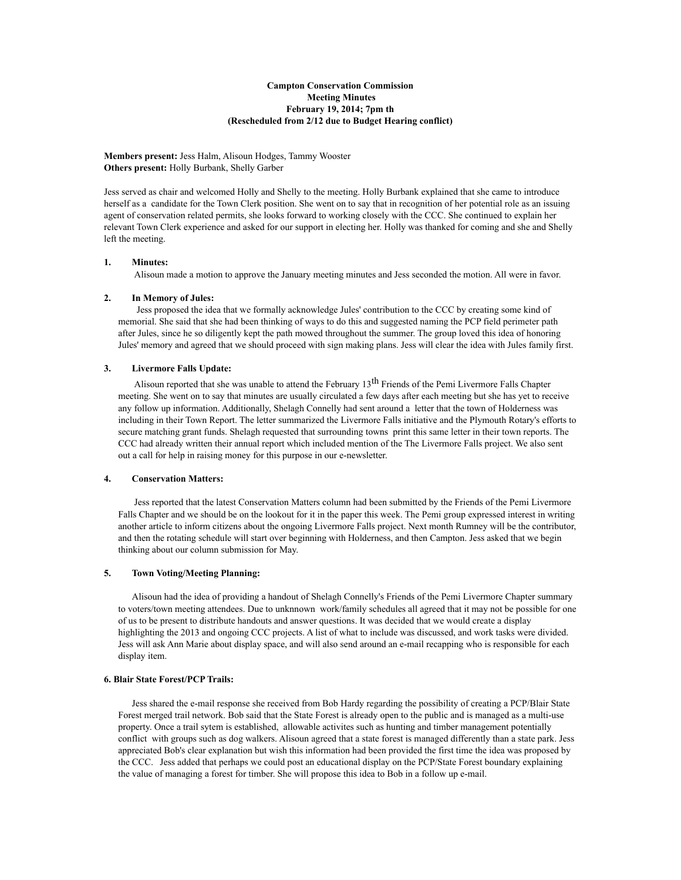# **Campton Conservation Commission Meeting Minutes February 19, 2014; 7pm th (Rescheduled from 2/12 due to Budget Hearing conflict)**

**Members present:** Jess Halm, Alisoun Hodges, Tammy Wooster **Others present:** Holly Burbank, Shelly Garber

Jess served as chair and welcomed Holly and Shelly to the meeting. Holly Burbank explained that she came to introduce herself as a candidate for the Town Clerk position. She went on to say that in recognition of her potential role as an issuing agent of conservation related permits, she looks forward to working closely with the CCC. She continued to explain her relevant Town Clerk experience and asked for our support in electing her. Holly was thanked for coming and she and Shelly left the meeting.

# **1. Minutes:**

Alisoun made a motion to approve the January meeting minutes and Jess seconded the motion. All were in favor.

### **2. In Memory of Jules:**

 Jess proposed the idea that we formally acknowledge Jules' contribution to the CCC by creating some kind of memorial. She said that she had been thinking of ways to do this and suggested naming the PCP field perimeter path after Jules, since he so diligently kept the path mowed throughout the summer. The group loved this idea of honoring Jules' memory and agreed that we should proceed with sign making plans. Jess will clear the idea with Jules family first.

#### **3. Livermore Falls Update:**

Alisoun reported that she was unable to attend the February  $13<sup>th</sup>$  Friends of the Pemi Livermore Falls Chapter meeting. She went on to say that minutes are usually circulated a few days after each meeting but she has yet to receive any follow up information. Additionally, Shelagh Connelly had sent around a letter that the town of Holderness was including in their Town Report. The letter summarized the Livermore Falls initiative and the Plymouth Rotary's efforts to secure matching grant funds. Shelagh requested that surrounding towns print this same letter in their town reports. The CCC had already written their annual report which included mention of the The Livermore Falls project. We also sent out a call for help in raising money for this purpose in our e-newsletter.

#### **4. Conservation Matters:**

Jess reported that the latest Conservation Matters column had been submitted by the Friends of the Pemi Livermore Falls Chapter and we should be on the lookout for it in the paper this week. The Pemi group expressed interest in writing another article to inform citizens about the ongoing Livermore Falls project. Next month Rumney will be the contributor, and then the rotating schedule will start over beginning with Holderness, and then Campton. Jess asked that we begin thinking about our column submission for May.

## **5. Town Voting/Meeting Planning:**

Alisoun had the idea of providing a handout of Shelagh Connelly's Friends of the Pemi Livermore Chapter summary to voters/town meeting attendees. Due to unknnown work/family schedules all agreed that it may not be possible for one of us to be present to distribute handouts and answer questions. It was decided that we would create a display highlighting the 2013 and ongoing CCC projects. A list of what to include was discussed, and work tasks were divided. Jess will ask Ann Marie about display space, and will also send around an e-mail recapping who is responsible for each display item.

### **6. Blair State Forest/PCP Trails:**

Jess shared the e-mail response she received from Bob Hardy regarding the possibility of creating a PCP/Blair State Forest merged trail network. Bob said that the State Forest is already open to the public and is managed as a multi-use property. Once a trail sytem is established, allowable activites such as hunting and timber management potentially conflict with groups such as dog walkers. Alisoun agreed that a state forest is managed differently than a state park. Jess appreciated Bob's clear explanation but wish this information had been provided the first time the idea was proposed by the CCC. Jess added that perhaps we could post an educational display on the PCP/State Forest boundary explaining the value of managing a forest for timber. She will propose this idea to Bob in a follow up e-mail.